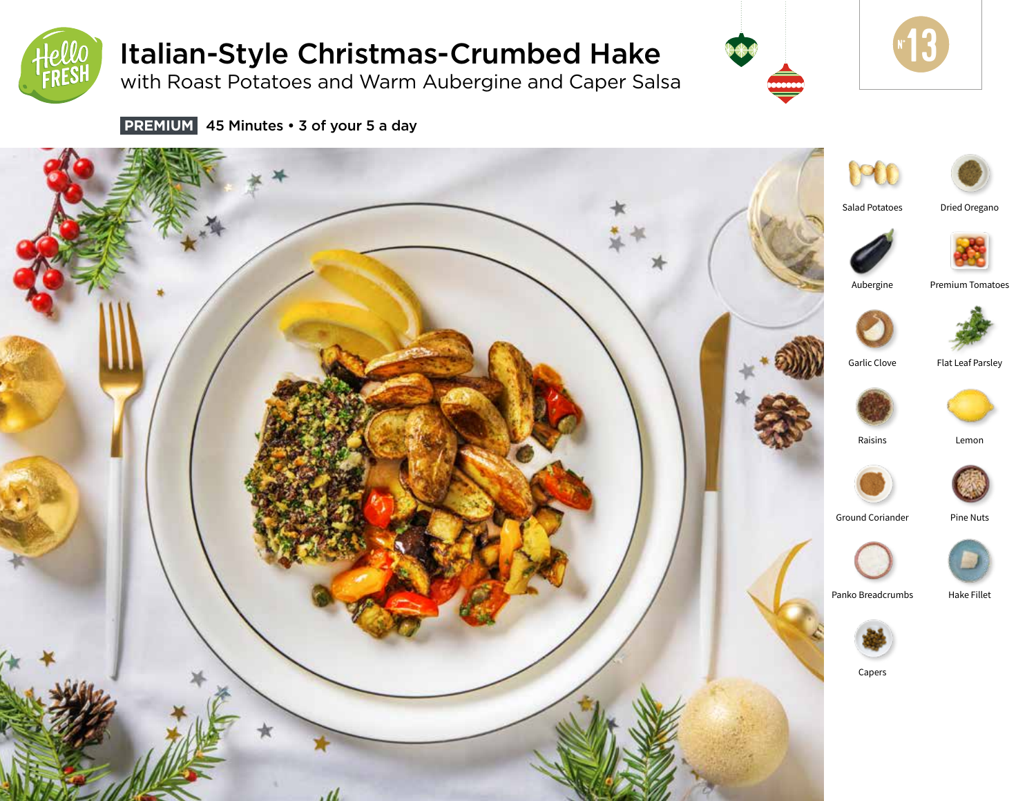

# Italian-Style Christmas-Crumbed Hake

with Roast Potatoes and Warm Aubergine and Caper Salsa





 **PREMIUM** 45 Minutes • 3 of your 5 a day